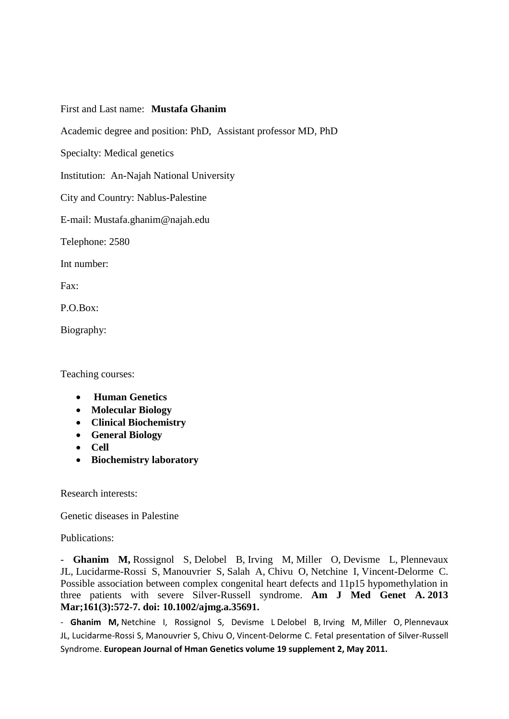## First and Last name: **Mustafa Ghanim**

Academic degree and position: PhD, Assistant professor MD, PhD

Specialty: Medical genetics

Institution: An-Najah National University

City and Country: Nablus-Palestine

E-mail: Mustafa.ghanim@najah.edu

Telephone: 2580

Int number:

Fax:

 $P \cap Box$ 

Biography:

Teaching courses:

- **Human Genetics**
- **Molecular Biology**
- **Clinical Biochemistry**
- **General Biology**
- **Cell**
- **Biochemistry laboratory**

Research interests:

Genetic diseases in Palestine

Publications:

- **[Ghanim M,](http://www.ncbi.nlm.nih.gov/pubmed?term=Ghanim%20M%5BAuthor%5D&cauthor=true&cauthor_uid=23401077)** [Rossignol S,](http://www.ncbi.nlm.nih.gov/pubmed?term=Rossignol%20S%5BAuthor%5D&cauthor=true&cauthor_uid=23401077) [Delobel B,](http://www.ncbi.nlm.nih.gov/pubmed?term=Delobel%20B%5BAuthor%5D&cauthor=true&cauthor_uid=23401077) [Irving M,](http://www.ncbi.nlm.nih.gov/pubmed?term=Irving%20M%5BAuthor%5D&cauthor=true&cauthor_uid=23401077) [Miller O,](http://www.ncbi.nlm.nih.gov/pubmed?term=Miller%20O%5BAuthor%5D&cauthor=true&cauthor_uid=23401077) [Devisme L,](http://www.ncbi.nlm.nih.gov/pubmed?term=Devisme%20L%5BAuthor%5D&cauthor=true&cauthor_uid=23401077) [Plennevaux](http://www.ncbi.nlm.nih.gov/pubmed?term=Plennevaux%20JL%5BAuthor%5D&cauthor=true&cauthor_uid=23401077)  [JL,](http://www.ncbi.nlm.nih.gov/pubmed?term=Plennevaux%20JL%5BAuthor%5D&cauthor=true&cauthor_uid=23401077) [Lucidarme-Rossi S,](http://www.ncbi.nlm.nih.gov/pubmed?term=Lucidarme-Rossi%20S%5BAuthor%5D&cauthor=true&cauthor_uid=23401077) [Manouvrier S,](http://www.ncbi.nlm.nih.gov/pubmed?term=Manouvrier%20S%5BAuthor%5D&cauthor=true&cauthor_uid=23401077) [Salah A,](http://www.ncbi.nlm.nih.gov/pubmed?term=Salah%20A%5BAuthor%5D&cauthor=true&cauthor_uid=23401077) [Chivu O,](http://www.ncbi.nlm.nih.gov/pubmed?term=Chivu%20O%5BAuthor%5D&cauthor=true&cauthor_uid=23401077) [Netchine I,](http://www.ncbi.nlm.nih.gov/pubmed?term=Netchine%20I%5BAuthor%5D&cauthor=true&cauthor_uid=23401077) [Vincent-Delorme C.](http://www.ncbi.nlm.nih.gov/pubmed?term=Vincent-Delorme%20C%5BAuthor%5D&cauthor=true&cauthor_uid=23401077) Possible association between complex congenital heart defects and 11p15 hypomethylation in three patients with severe Silver-Russell syndrome. **[Am J Med Genet A.](http://www.ncbi.nlm.nih.gov/pubmed/?term=mustafa+ghanim) 2013 Mar;161(3):572-7. doi: 10.1002/ajmg.a.35691.**

- **[Ghanim M,](http://www.ncbi.nlm.nih.gov/pubmed?term=Ghanim%20M%5BAuthor%5D&cauthor=true&cauthor_uid=23401077)** [Netchine I,](http://www.ncbi.nlm.nih.gov/pubmed?term=Netchine%20I%5BAuthor%5D&cauthor=true&cauthor_uid=23401077) [Rossignol S,](http://www.ncbi.nlm.nih.gov/pubmed?term=Rossignol%20S%5BAuthor%5D&cauthor=true&cauthor_uid=23401077) [Devisme L](http://www.ncbi.nlm.nih.gov/pubmed?term=Devisme%20L%5BAuthor%5D&cauthor=true&cauthor_uid=23401077) [Delobel B,](http://www.ncbi.nlm.nih.gov/pubmed?term=Delobel%20B%5BAuthor%5D&cauthor=true&cauthor_uid=23401077) [Irving M,](http://www.ncbi.nlm.nih.gov/pubmed?term=Irving%20M%5BAuthor%5D&cauthor=true&cauthor_uid=23401077) [Miller O,](http://www.ncbi.nlm.nih.gov/pubmed?term=Miller%20O%5BAuthor%5D&cauthor=true&cauthor_uid=23401077) [Plennevaux](http://www.ncbi.nlm.nih.gov/pubmed?term=Plennevaux%20JL%5BAuthor%5D&cauthor=true&cauthor_uid=23401077)  [JL,](http://www.ncbi.nlm.nih.gov/pubmed?term=Plennevaux%20JL%5BAuthor%5D&cauthor=true&cauthor_uid=23401077) [Lucidarme-Rossi S,](http://www.ncbi.nlm.nih.gov/pubmed?term=Lucidarme-Rossi%20S%5BAuthor%5D&cauthor=true&cauthor_uid=23401077) [Manouvrier S,](http://www.ncbi.nlm.nih.gov/pubmed?term=Manouvrier%20S%5BAuthor%5D&cauthor=true&cauthor_uid=23401077) [Chivu O,](http://www.ncbi.nlm.nih.gov/pubmed?term=Chivu%20O%5BAuthor%5D&cauthor=true&cauthor_uid=23401077) [Vincent-Delorme C.](http://www.ncbi.nlm.nih.gov/pubmed?term=Vincent-Delorme%20C%5BAuthor%5D&cauthor=true&cauthor_uid=23401077) Fetal presentation of Silver-Russell Syndrome. **European Journal of Hman Genetics volume 19 supplement 2, May 2011.**